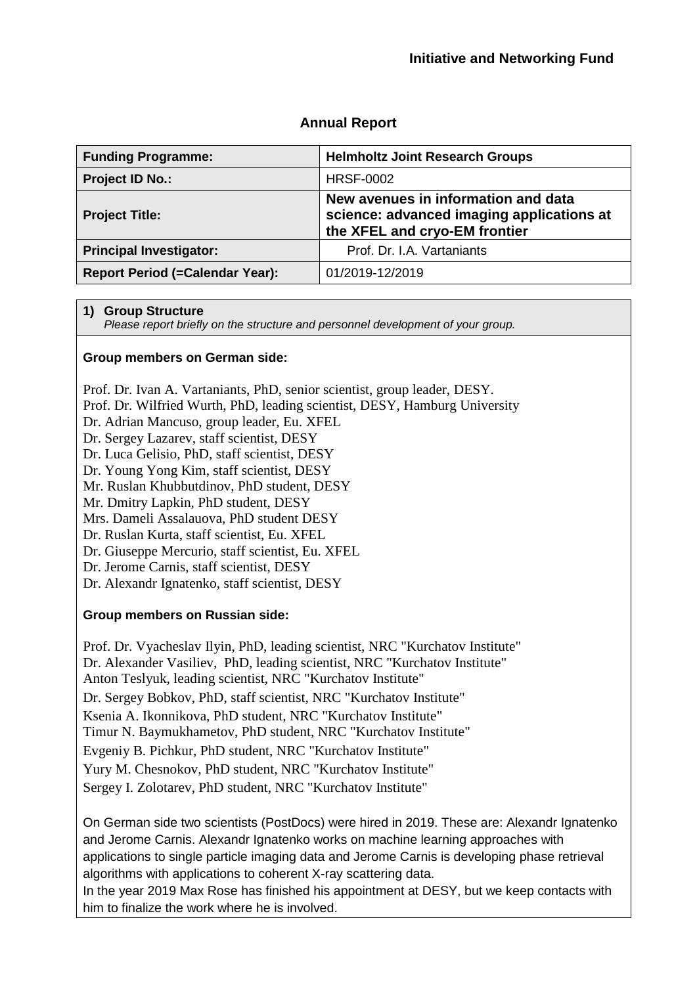### **Annual Report**

| <b>Funding Programme:</b>              | <b>Helmholtz Joint Research Groups</b>                                                                            |
|----------------------------------------|-------------------------------------------------------------------------------------------------------------------|
| <b>Project ID No.:</b>                 | <b>HRSF-0002</b>                                                                                                  |
| <b>Project Title:</b>                  | New avenues in information and data<br>science: advanced imaging applications at<br>the XFEL and cryo-EM frontier |
| <b>Principal Investigator:</b>         | Prof. Dr. I.A. Vartaniants                                                                                        |
| <b>Report Period (=Calendar Year):</b> | 01/2019-12/2019                                                                                                   |

#### **1) Group Structure**

*Please report briefly on the structure and personnel development of your group.*

#### **Group members on German side:**

Prof. Dr. Ivan A. Vartaniants, PhD, senior scientist, group leader, DESY.

- Prof. Dr. Wilfried Wurth, PhD, leading scientist, DESY, Hamburg University
- Dr. Adrian Mancuso, group leader, Eu. XFEL

Dr. Sergey Lazarev, staff scientist, DESY

Dr. Luca Gelisio, PhD, staff scientist, DESY

Dr. Young Yong Kim, staff scientist, DESY

Mr. Ruslan Khubbutdinov, PhD student, DESY

Mr. Dmitry Lapkin, PhD student, DESY

Mrs. Dameli Assalauova, PhD student DESY

Dr. Ruslan Kurta, staff scientist, Eu. XFEL

Dr. Giuseppe Mercurio, staff scientist, Eu. XFEL

Dr. Jerome Carnis, staff scientist, DESY

Dr. Alexandr Ignatenko, staff scientist, DESY

### **Group members on Russian side:**

Prof. Dr. Vyacheslav Ilyin, PhD, leading scientist, NRC "Kurchatov Institute" Dr. Alexander Vasiliev, PhD, leading scientist, NRC "Kurchatov Institute" Anton Teslyuk, leading scientist, NRC "Kurchatov Institute" Dr. Sergey Bobkov, PhD, staff scientist, NRC "Kurchatov Institute" Ksenia A. Ikonnikova, PhD student, NRC "Kurchatov Institute" Timur N. Baymukhametov, PhD student, NRC "Kurchatov Institute" Evgeniy B. Pichkur, PhD student, NRC "Kurchatov Institute" Yury M. Chesnokov, PhD student, NRC "Kurchatov Institute" Sergey I. Zolotarev, PhD student, NRC "Kurchatov Institute"

On German side two scientists (PostDocs) were hired in 2019. These are: Alexandr Ignatenko and Jerome Carnis. Alexandr Ignatenko works on machine learning approaches with applications to single particle imaging data and Jerome Carnis is developing phase retrieval algorithms with applications to coherent X-ray scattering data.

In the year 2019 Max Rose has finished his appointment at DESY, but we keep contacts with him to finalize the work where he is involved.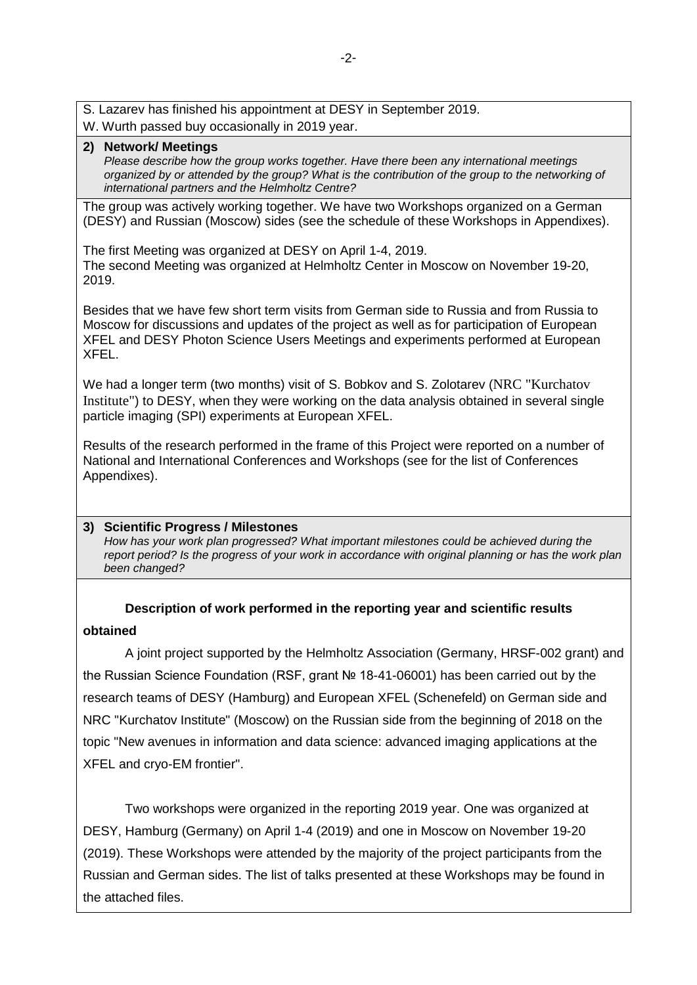- S. Lazarev has finished his appointment at DESY in September 2019.
- W. Wurth passed buy occasionally in 2019 year.

## **2) Network/ Meetings**

*Please describe how the group works together. Have there been any international meetings organized by or attended by the group? What is the contribution of the group to the networking of international partners and the Helmholtz Centre?*

The group was actively working together. We have two Workshops organized on a German (DESY) and Russian (Moscow) sides (see the schedule of these Workshops in Appendixes).

The first Meeting was organized at DESY on April 1-4, 2019. The second Meeting was organized at Helmholtz Center in Moscow on November 19-20, 2019.

Besides that we have few short term visits from German side to Russia and from Russia to Moscow for discussions and updates of the project as well as for participation of European XFEL and DESY Photon Science Users Meetings and experiments performed at European XFEL.

We had a longer term (two months) visit of S. Bobkov and S. Zolotarev (NRC "Kurchatov Institute") to DESY, when they were working on the data analysis obtained in several single particle imaging (SPI) experiments at European XFEL.

Results of the research performed in the frame of this Project were reported on a number of National and International Conferences and Workshops (see for the list of Conferences Appendixes).

### **3) Scientific Progress / Milestones**

*How has your work plan progressed? What important milestones could be achieved during the report period? Is the progress of your work in accordance with original planning or has the work plan been changed?*

# **Description of work performed in the reporting year and scientific results obtained**

A joint project supported by the Helmholtz Association (Germany, HRSF-002 grant) and the Russian Science Foundation (RSF, grant № 18-41-06001) has been carried out by the research teams of DESY (Hamburg) and European XFEL (Schenefeld) on German side and NRC "Kurchatov Institute" (Moscow) on the Russian side from the beginning of 2018 on the topic "New avenues in information and data science: advanced imaging applications at the XFEL and cryo-EM frontier".

Two workshops were organized in the reporting 2019 year. One was organized at DESY, Hamburg (Germany) on April 1-4 (2019) and one in Moscow on November 19-20 (2019). These Workshops were attended by the majority of the project participants from the Russian and German sides. The list of talks presented at these Workshops may be found in the attached files.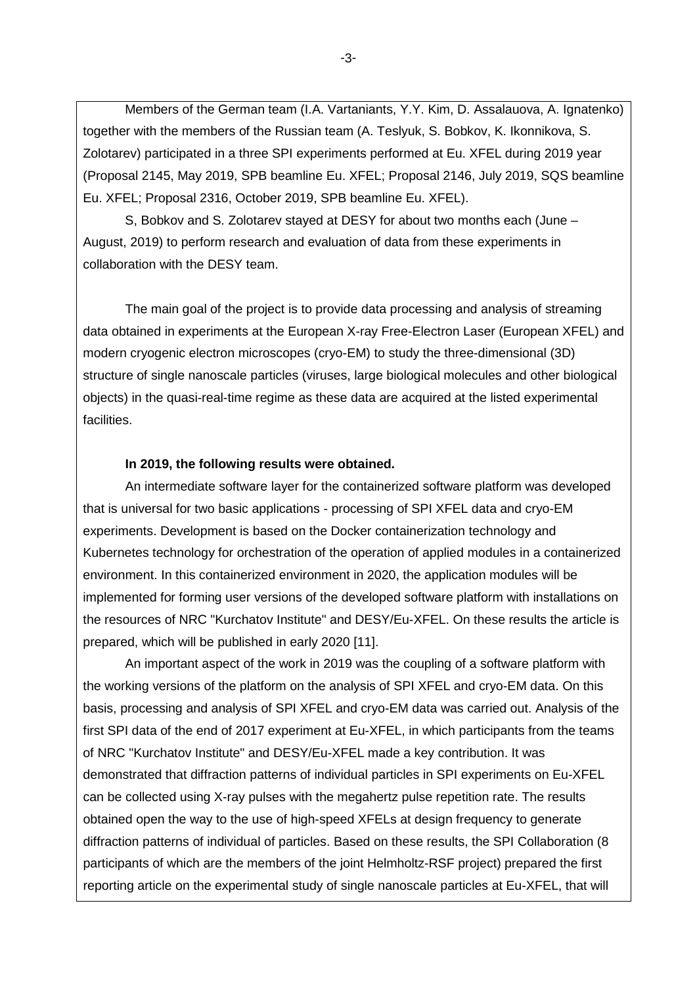Members of the German team (I.A. Vartaniants, Y.Y. Kim, D. Assalauova, A. Ignatenko) together with the members of the Russian team (A. Teslyuk, S. Bobkov, K. Ikonnikova, S. Zolotarev) participated in a three SPI experiments performed at Eu. XFEL during 2019 year (Proposal 2145, May 2019, SPB beamline Eu. XFEL; Proposal 2146, July 2019, SQS beamline Eu. XFEL; Proposal 2316, October 2019, SPB beamline Eu. XFEL).

S, Bobkov and S. Zolotarev stayed at DESY for about two months each (June – August, 2019) to perform research and evaluation of data from these experiments in collaboration with the DESY team.

The main goal of the project is to provide data processing and analysis of streaming data obtained in experiments at the European X-ray Free-Electron Laser (European XFEL) and modern cryogenic electron microscopes (cryo-EM) to study the three-dimensional (3D) structure of single nanoscale particles (viruses, large biological molecules and other biological objects) in the quasi-real-time regime as these data are acquired at the listed experimental facilities.

#### **In 2019, the following results were obtained.**

An intermediate software layer for the containerized software platform was developed that is universal for two basic applications - processing of SPI XFEL data and cryo-EM experiments. Development is based on the Docker containerization technology and Kubernetes technology for orchestration of the operation of applied modules in a containerized environment. In this containerized environment in 2020, the application modules will be implemented for forming user versions of the developed software platform with installations on the resources of NRC "Kurchatov Institute" and DESY/Eu-XFEL. On these results the article is prepared, which will be published in early 2020 [11].

An important aspect of the work in 2019 was the coupling of a software platform with the working versions of the platform on the analysis of SPI XFEL and cryo-EM data. On this basis, processing and analysis of SPI XFEL and cryo-EM data was carried out. Analysis of the first SPI data of the end of 2017 experiment at Eu-XFEL, in which participants from the teams of NRC "Kurchatov Institute" and DESY/Eu-XFEL made a key contribution. It was demonstrated that diffraction patterns of individual particles in SPI experiments on Eu-XFEL can be collected using X-ray pulses with the megahertz pulse repetition rate. The results obtained open the way to the use of high-speed XFELs at design frequency to generate diffraction patterns of individual of particles. Based on these results, the SPI Collaboration (8 participants of which are the members of the joint Helmholtz-RSF project) prepared the first reporting article on the experimental study of single nanoscale particles at Eu-XFEL, that will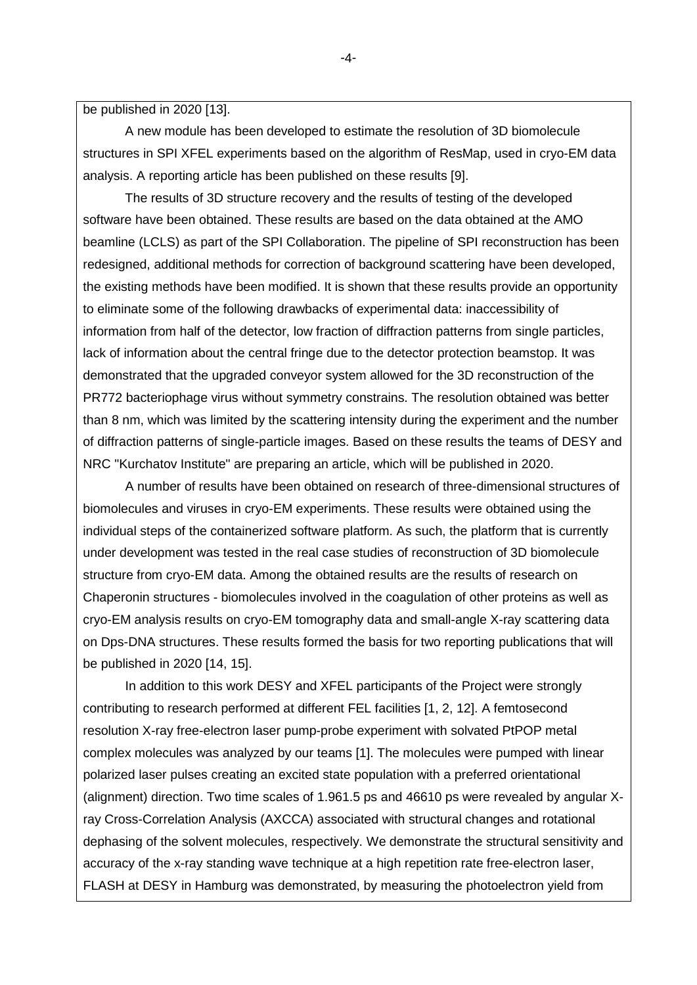be published in 2020 [13].

A new module has been developed to estimate the resolution of 3D biomolecule structures in SPI XFEL experiments based on the algorithm of ResMap, used in cryo-EM data analysis. A reporting article has been published on these results [9].

The results of 3D structure recovery and the results of testing of the developed software have been obtained. These results are based on the data obtained at the AMO beamline (LCLS) as part of the SPI Collaboration. The pipeline of SPI reconstruction has been redesigned, additional methods for correction of background scattering have been developed, the existing methods have been modified. It is shown that these results provide an opportunity to eliminate some of the following drawbacks of experimental data: inaccessibility of information from half of the detector, low fraction of diffraction patterns from single particles, lack of information about the central fringe due to the detector protection beamstop. It was demonstrated that the upgraded conveyor system allowed for the 3D reconstruction of the PR772 bacteriophage virus without symmetry constrains. The resolution obtained was better than 8 nm, which was limited by the scattering intensity during the experiment and the number of diffraction patterns of single-particle images. Based on these results the teams of DESY and NRC "Kurchatov Institute" are preparing an article, which will be published in 2020.

A number of results have been obtained on research of three-dimensional structures of biomolecules and viruses in cryo-EM experiments. These results were obtained using the individual steps of the containerized software platform. As such, the platform that is currently under development was tested in the real case studies of reconstruction of 3D biomolecule structure from cryo-EM data. Among the obtained results are the results of research on Chaperonin structures - biomolecules involved in the coagulation of other proteins as well as cryo-EM analysis results on cryo-EM tomography data and small-angle X-ray scattering data on Dps-DNA structures. These results formed the basis for two reporting publications that will be published in 2020 [14, 15].

In addition to this work DESY and XFEL participants of the Project were strongly contributing to research performed at different FEL facilities [1, 2, 12]. A femtosecond resolution X-ray free-electron laser pump-probe experiment with solvated PtPOP metal complex molecules was analyzed by our teams [1]. The molecules were pumped with linear polarized laser pulses creating an excited state population with a preferred orientational (alignment) direction. Two time scales of 1.961.5 ps and 46610 ps were revealed by angular Xray Cross-Correlation Analysis (AXCCA) associated with structural changes and rotational dephasing of the solvent molecules, respectively. We demonstrate the structural sensitivity and accuracy of the x-ray standing wave technique at a high repetition rate free-electron laser, FLASH at DESY in Hamburg was demonstrated, by measuring the photoelectron yield from

 $-4-$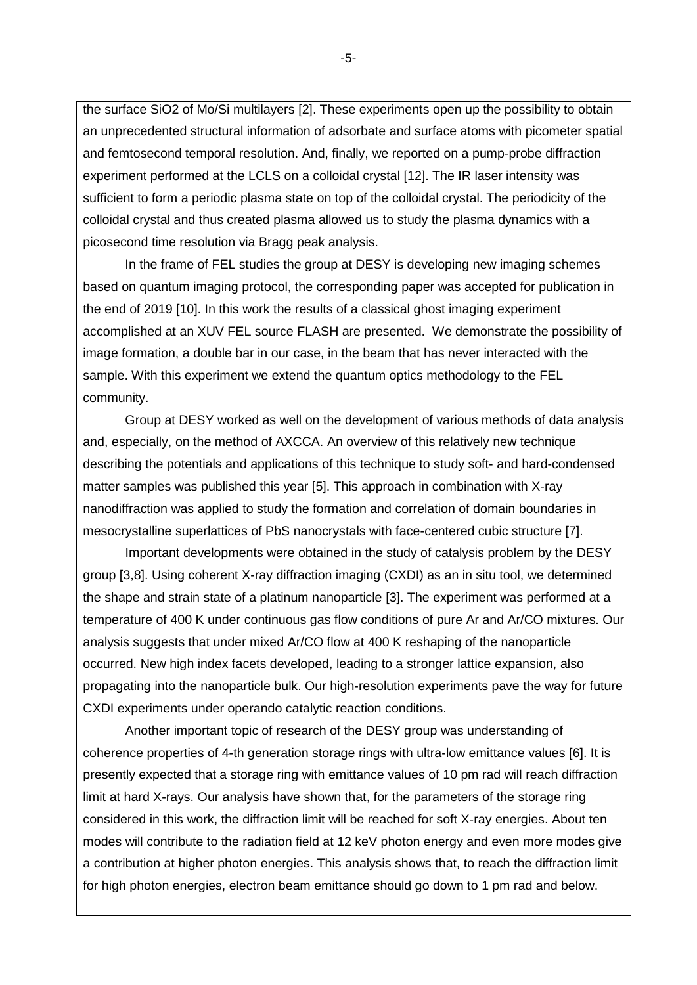the surface SiO2 of Mo/Si multilayers [2]. These experiments open up the possibility to obtain an unprecedented structural information of adsorbate and surface atoms with picometer spatial and femtosecond temporal resolution. And, finally, we reported on a pump-probe diffraction experiment performed at the LCLS on a colloidal crystal [12]. The IR laser intensity was sufficient to form a periodic plasma state on top of the colloidal crystal. The periodicity of the colloidal crystal and thus created plasma allowed us to study the plasma dynamics with a picosecond time resolution via Bragg peak analysis.

In the frame of FEL studies the group at DESY is developing new imaging schemes based on quantum imaging protocol, the corresponding paper was accepted for publication in the end of 2019 [10]. In this work the results of a classical ghost imaging experiment accomplished at an XUV FEL source FLASH are presented. We demonstrate the possibility of image formation, a double bar in our case, in the beam that has never interacted with the sample. With this experiment we extend the quantum optics methodology to the FEL community.

Group at DESY worked as well on the development of various methods of data analysis and, especially, on the method of AXCCA. An overview of this relatively new technique describing the potentials and applications of this technique to study soft- and hard-condensed matter samples was published this year [5]. This approach in combination with X-ray nanodiffraction was applied to study the formation and correlation of domain boundaries in mesocrystalline superlattices of PbS nanocrystals with face-centered cubic structure [7].

Important developments were obtained in the study of catalysis problem by the DESY group [3,8]. Using coherent X-ray diffraction imaging (CXDI) as an in situ tool, we determined the shape and strain state of a platinum nanoparticle [3]. The experiment was performed at a temperature of 400 K under continuous gas flow conditions of pure Ar and Ar/CO mixtures. Our analysis suggests that under mixed Ar/CO flow at 400 K reshaping of the nanoparticle occurred. New high index facets developed, leading to a stronger lattice expansion, also propagating into the nanoparticle bulk. Our high-resolution experiments pave the way for future CXDI experiments under operando catalytic reaction conditions.

Another important topic of research of the DESY group was understanding of coherence properties of 4-th generation storage rings with ultra-low emittance values [6]. It is presently expected that a storage ring with emittance values of 10 pm rad will reach diffraction limit at hard X-rays. Our analysis have shown that, for the parameters of the storage ring considered in this work, the diffraction limit will be reached for soft X-ray energies. About ten modes will contribute to the radiation field at 12 keV photon energy and even more modes give a contribution at higher photon energies. This analysis shows that, to reach the diffraction limit for high photon energies, electron beam emittance should go down to 1 pm rad and below.

-5 -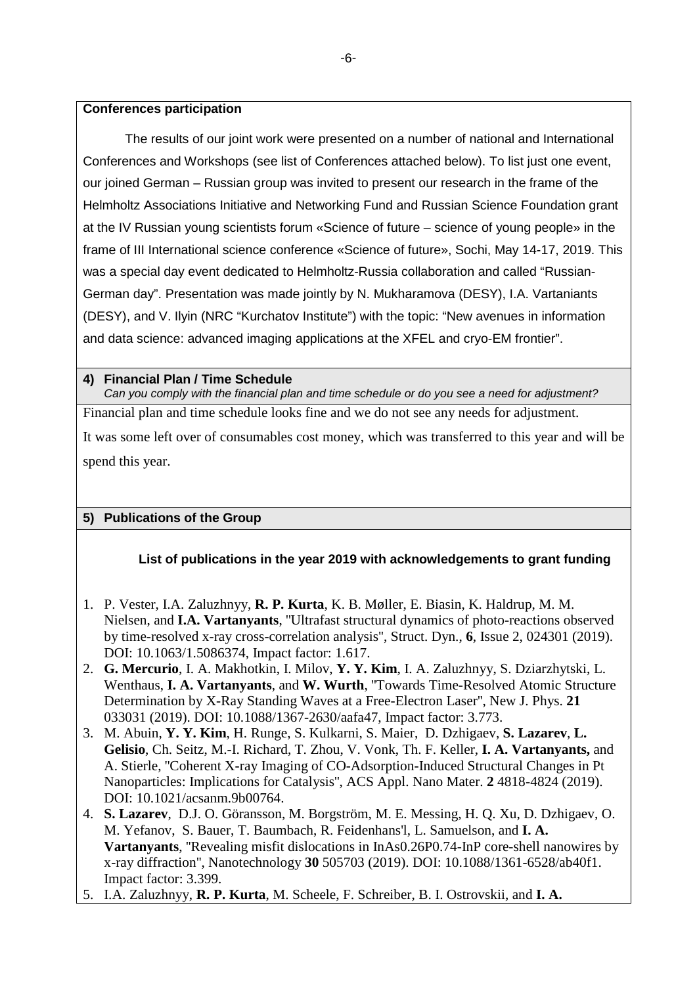#### **Conferences participation**

The results of our joint work were presented on a number of national and International Conferences and Workshops (see list of Conferences attached below). To list just one event, our joined German – Russian group was invited to present our research in the frame of the Helmholtz Associations Initiative and Networking Fund and Russian Science Foundation grant at the IV Russian young scientists forum «Science of future – science of young people» in the frame of III International science conference «Science of future», Sochi, May 14-17, 2019. This was a special day event dedicated to Helmholtz-Russia collaboration and called "Russian-German day". Presentation was made jointly by N. Mukharamova (DESY), I.A. Vartaniants (DESY), and V. Ilyin (NRC "Kurchatov Institute") with the topic: "New avenues in information and data science: advanced imaging applications at the XFEL and cryo-EM frontier".

## **4) Financial Plan / Time Schedule**

*Can you comply with the financial plan and time schedule or do you see a need for adjustment?* Financial plan and time schedule looks fine and we do not see any needs for adjustment. It was some left over of consumables cost money, which was transferred to this year and will be

spend this year.

# **5) Publications of the Group**

## **List of publications in the year 2019 with acknowledgements to grant funding**

- 1. P. Vester, I.A. Zaluzhnyy, **R. P. Kurta**, K. B. Møller, E. Biasin, K. Haldrup, M. M. Nielsen, and **I.A. Vartanyants**, ''Ultrafast structural dynamics of photo-reactions observed by time-resolved x-ray cross-correlation analysis'', Struct. Dyn., **6**, Issue 2, 024301 (2019). DOI: 10.1063/1.5086374, Impact factor: 1.617.
- 2. **G. Mercurio**, I. A. Makhotkin, I. Milov, **Y. Y. Kim**, I. A. Zaluzhnyy, S. Dziarzhytski, L. Wenthaus, **I. A. Vartanyants**, and **W. Wurth**, ''Towards Time-Resolved Atomic Structure Determination by X-Ray Standing Waves at a Free-Electron Laser'', New J. Phys. **21** 033031 (2019). DOI: 10.1088/1367-2630/aafa47, Impact factor: 3.773.
- 3. M. Abuin, **Y. Y. Kim**, H. Runge, S. Kulkarni, S. Maier, D. Dzhigaev, **S. Lazarev**, **L. Gelisio**, Ch. Seitz, M.-I. Richard, T. Zhou, V. Vonk, Th. F. Keller, **I. A. Vartanyants,** and A. Stierle, ''Coherent X-ray Imaging of CO-Adsorption-Induced Structural Changes in Pt Nanoparticles: Implications for Catalysis'', ACS Appl. Nano Mater. **2** 4818-4824 (2019). DOI: 10.1021/acsanm.9b00764.
- 4. **S. Lazarev**, D.J. O. Göransson, M. Borgström, M. E. Messing, H. Q. Xu, D. Dzhigaev, O. M. Yefanov, S. Bauer, T. Baumbach, R. Feidenhans'l, L. Samuelson, and **I. A. Vartanyants**, ''Revealing misfit dislocations in InAs0.26P0.74-InP core-shell nanowires by x-ray diffraction'', Nanotechnology **30** 505703 (2019). DOI: 10.1088/1361-6528/ab40f1. Impact factor: 3.399.
- 5. I.A. Zaluzhnyy, **R. P. Kurta**, M. Scheele, F. Schreiber, B. I. Ostrovskii, and **I. A.**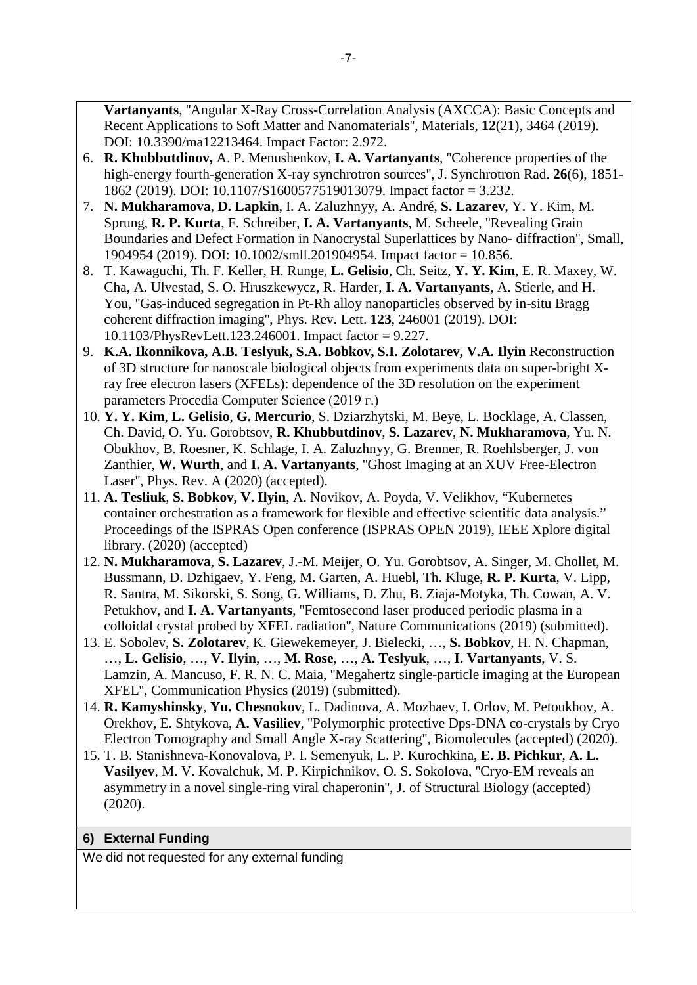**Vartanyants**, ''Angular X-Ray Cross-Correlation Analysis (AXCCA): Basic Concepts and Recent Applications to Soft Matter and Nanomaterials'', Materials, **12**(21), 3464 (2019). DOI: 10.3390/ma12213464. Impact Factor: 2.972.

- 6. **R. Khubbutdinov,** A. P. Menushenkov, **I. A. Vartanyants**, ''Coherence properties of the high-energy fourth-generation X-ray synchrotron sources'', J. Synchrotron Rad. **26**(6), 1851- 1862 (2019). DOI: 10.1107/S1600577519013079. Impact factor = 3.232.
- 7. **N. Mukharamova**, **D. Lapkin**, I. A. Zaluzhnyy, A. André, **S. Lazarev**, Y. Y. Kim, M. Sprung, **R. P. Kurta**, F. Schreiber, **I. A. Vartanyants**, M. Scheele, ''Revealing Grain Boundaries and Defect Formation in Nanocrystal Superlattices by Nano- diffraction'', Small, 1904954 (2019). DOI: 10.1002/smll.201904954. Impact factor = 10.856.
- 8. T. Kawaguchi, Th. F. Keller, H. Runge, **L. Gelisio**, Ch. Seitz, **Y. Y. Kim**, E. R. Maxey, W. Cha, A. Ulvestad, S. O. Hruszkewycz, R. Harder, **I. A. Vartanyants**, A. Stierle, and H. You, ''Gas-induced segregation in Pt-Rh alloy nanoparticles observed by in-situ Bragg coherent diffraction imaging'', Phys. Rev. Lett. **123**, 246001 (2019). DOI: 10.1103/PhysRevLett.123.246001. Impact factor = 9.227.
- 9. **K.A. Ikonnikova, A.B. Teslyuk, S.A. Bobkov, S.I. Zolotarev, V.A. Ilyin** Reconstruction of 3D structure for nanoscale biological objects from experiments data on super-bright Xray free electron lasers (XFELs): dependence of the 3D resolution on the experiment parameters Procedia Computer Science (2019 г.)
- 10. **Y. Y. Kim**, **L. Gelisio**, **G. Mercurio**, S. Dziarzhytski, M. Beye, L. Bocklage, A. Classen, Ch. David, O. Yu. Gorobtsov, **R. Khubbutdinov**, **S. Lazarev**, **N. Mukharamova**, Yu. N. Obukhov, B. Roesner, K. Schlage, I. A. Zaluzhnyy, G. Brenner, R. Roehlsberger, J. von Zanthier, **W. Wurth**, and **I. A. Vartanyants**, ''Ghost Imaging at an XUV Free-Electron Laser'', Phys. Rev. A (2020) (accepted).
- 11. **A. Tesliuk**, **S. Bobkov, V. Ilyin**, A. Novikov, A. Poyda, V. Velikhov, "Kubernetes container orchestration as a framework for flexible and effective scientific data analysis." Proceedings of the ISPRAS Open conference (ISPRAS OPEN 2019), IEEE Xplore digital library. (2020) (accepted)
- 12. **N. Mukharamova**, **S. Lazarev**, J.-M. Meijer, O. Yu. Gorobtsov, A. Singer, M. Chollet, M. Bussmann, D. Dzhigaev, Y. Feng, M. Garten, A. Huebl, Th. Kluge, **R. P. Kurta**, V. Lipp, R. Santra, M. Sikorski, S. Song, G. Williams, D. Zhu, B. Ziaja-Motyka, Th. Cowan, A. V. Petukhov, and **I. A. Vartanyants**, ''Femtosecond laser produced periodic plasma in a colloidal crystal probed by XFEL radiation'', Nature Communications (2019) (submitted).
- 13. E. Sobolev, **S. Zolotarev**, K. Giewekemeyer, J. Bielecki, …, **S. Bobkov**, H. N. Chapman, …, **L. Gelisio**, …, **V. Ilyin**, …, **M. Rose**, …, **A. Teslyuk**, …, **I. Vartanyants**, V. S. Lamzin, A. Mancuso, F. R. N. C. Maia, ''Megahertz single-particle imaging at the European XFEL'', Communication Physics (2019) (submitted).
- 14. **R. Kamyshinsky**, **Yu. Chesnokov**, L. Dadinova, A. Mozhaev, I. Orlov, M. Petoukhov, A. Orekhov, E. Shtykova, **A. Vasiliev**, ''Polymorphic protective Dps-DNA co-crystals by Cryo Electron Tomography and Small Angle X-ray Scattering'', Biomolecules (accepted) (2020).
- 15. T. B. Stanishneva-Konovalova, P. I. Semenyuk, L. P. Kurochkina, **E. B. Pichkur**, **A. L. Vasilyev**, M. V. Kovalchuk, M. P. Kirpichnikov, O. S. Sokolova, ''Cryo-EM reveals an asymmetry in a novel single-ring viral chaperonin'', J. of Structural Biology (accepted) (2020).

## **6) External Funding**

We did not requested for any external funding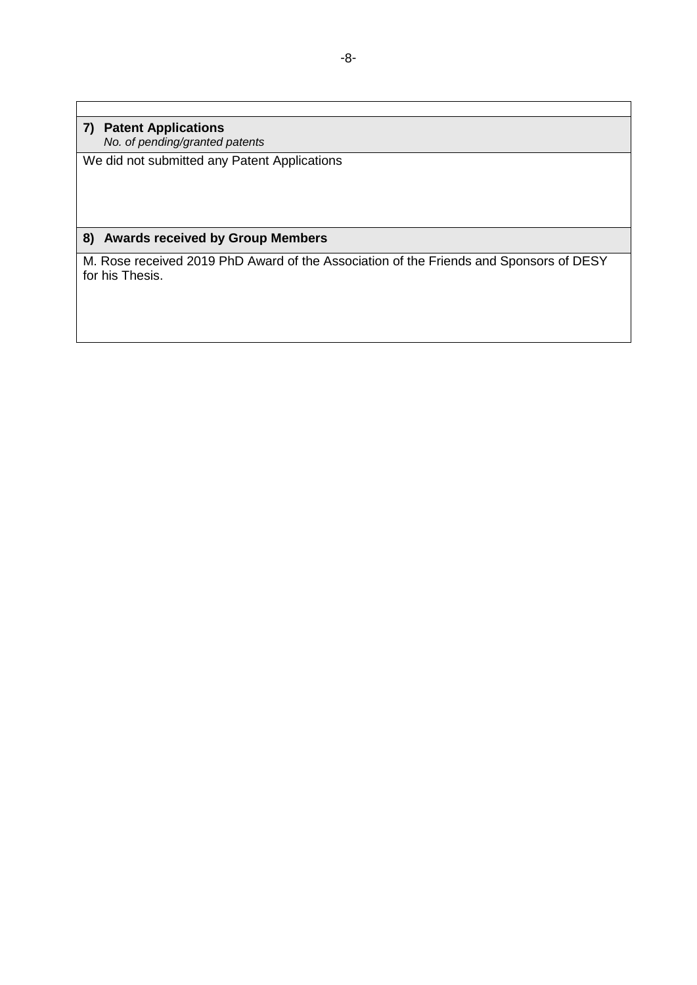**7) Patent Applications** *No. of pending/granted patents*

We did not submitted any Patent Applications

## **8) Awards received by Group Members**

M. Rose received 2019 PhD Award of the Association of the Friends and Sponsors of DESY for his Thesis.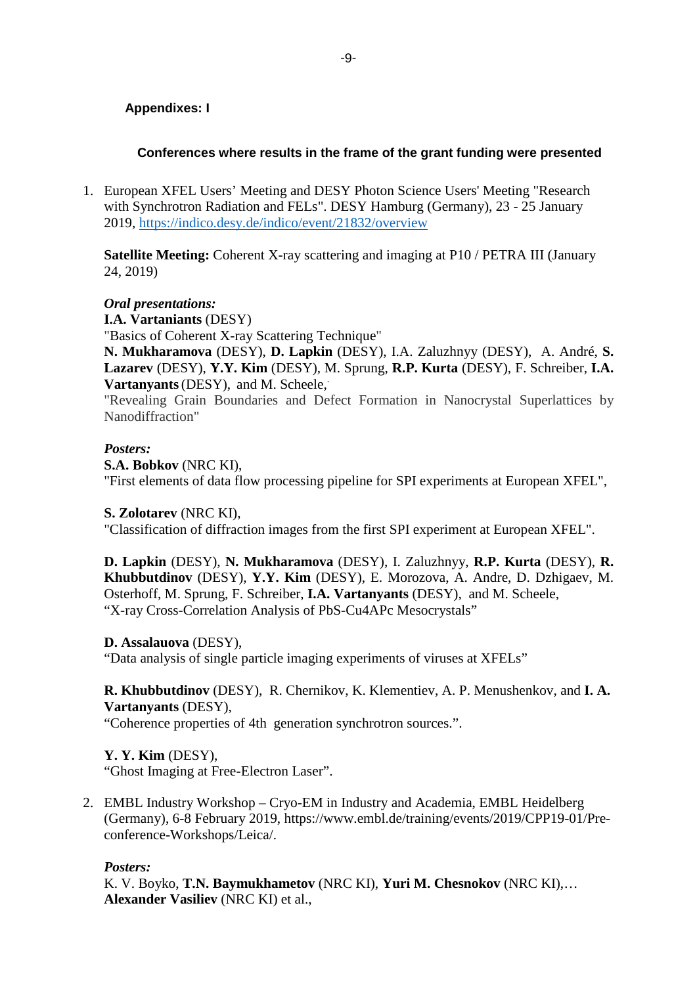### **Appendixes: I**

### **Conferences where results in the frame of the grant funding were presented**

1. European XFEL Users' Meeting and DESY Photon Science Users' Meeting "Research with Synchrotron Radiation and FELs". DESY Hamburg (Germany), 23 - 25 January 2019,<https://indico.desy.de/indico/event/21832/overview>

**Satellite Meeting:** Coherent X-ray scattering and imaging at P10 / PETRA III (January 24, 2019)

#### *Oral presentations:*

**I.A. Vartaniants** (DESY)

"Basics of Coherent X-ray Scattering Technique"

**N. Mukharamova** (DESY), **D. Lapkin** (DESY), I.A. Zaluzhnyy (DESY), A. André, **S. Lazarev** (DESY), **Y.Y. Kim** (DESY), M. Sprung, **R.P. Kurta** (DESY), F. Schreiber, **I.A. Vartanyants** (DESY), and M. Scheele,

"Revealing Grain Boundaries and Defect Formation in Nanocrystal Superlattices by Nanodiffraction"

#### *Posters:*

**S.A. Bobkov** (NRC KI),

"First elements of data flow processing pipeline for SPI experiments at European XFEL",

#### **S. Zolotarev** (NRC KI),

"Classification of diffraction images from the first SPI experiment at European XFEL".

**D. Lapkin** (DESY), **N. Mukharamova** (DESY), I. Zaluzhnyy, **R.P. Kurta** (DESY), **R. Khubbutdinov** (DESY), **Y.Y. Kim** (DESY), E. Morozova, A. Andre, D. Dzhigaev, M. Osterhoff, M. Sprung, F. Schreiber, **I.A. Vartanyants** (DESY), and M. Scheele, "X-ray Cross-Correlation Analysis of PbS-Cu4APc Mesocrystals"

#### **D. Assalauova** (DESY),

"Data analysis of single particle imaging experiments of viruses at XFELs"

#### **R. Khubbutdinov** (DESY), R. Chernikov, K. Klementiev, A. P. Menushenkov, and **I. A. Vartanyants** (DESY),

"Coherence properties of 4th generation synchrotron sources.".

#### **Y. Y. Kim** (DESY),

"Ghost Imaging at Free-Electron Laser".

2. EMBL Industry Workshop – Cryo-EM in Industry and Academia, EMBL Heidelberg (Germany), 6-8 February 2019, https://www.embl.de/training/events/2019/CPP19-01/Preconference-Workshops/Leica/.

#### *Posters:*

K. V. Boyko, **T.N. Baymukhametov** (NRC KI), **Yuri M. Chesnokov** (NRC KI),… **Alexander Vasiliev** (NRC KI) et al.,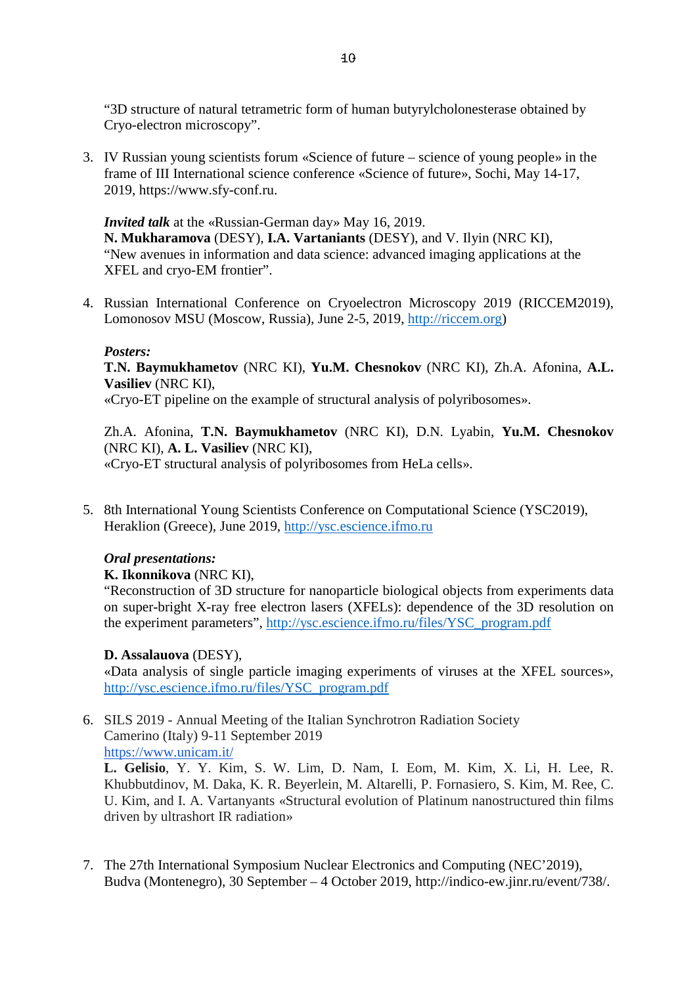"3D structure of natural tetrametric form of human butyrylcholonesterase obtained by Cryo-electron microscopy".

3. IV Russian young scientists forum «Science of future – science of young people» in the frame of III International science conference «Science of future», Sochi, May 14-17, 2019, https://www.sfy-conf.ru.

*Invited talk* at the «Russian-German day» May 16, 2019. **N. Mukharamova** (DESY), **I.A. Vartaniants** (DESY), and V. Ilyin (NRC KI), "New avenues in information and data science: advanced imaging applications at the XFEL and cryo-EM frontier".

4. Russian International Conference on Cryoelectron Microscopy 2019 (RICCEM2019), Lomonosov MSU (Moscow, Russia), June 2-5, 2019, [http://riccem.org\)](http://riccem.org/)

#### *Posters:*

**T.N. Baymukhametov** (NRC KI), **Yu.M. Chesnokov** (NRC KI), Zh.A. Afonina, **A.L. Vasiliev** (NRC KI),

«Cryo-ET pipeline on the example of structural analysis of polyribosomes».

Zh.A. Afonina, **T.N. Baymukhametov** (NRC KI), D.N. Lyabin, **Yu.M. Chesnokov** (NRC KI), **A. L. Vasiliev** (NRC KI), «Cryo-ET structural analysis of polyribosomes from HeLa cells».

5. 8th International Young Scientists Conference on Computational Science (YSC2019), Heraklion (Greece), June 2019, [http://ysc.escience.ifmo.ru](http://ysc.escience.ifmo.ru/)

#### *Oral presentations:*

#### **K. Ikonnikova** (NRC KI),

"Reconstruction of 3D structure for nanoparticle biological objects from experiments data on super-bright X-ray free electron lasers (XFELs): dependence of the 3D resolution on the experiment parameters", [http://ysc.escience.ifmo.ru/files/YSC\\_program.pdf](http://ysc.escience.ifmo.ru/files/YSC_program.pdf)

#### **D. Assalauova** (DESY),

«Data analysis of single particle imaging experiments of viruses at the XFEL sources», [http://ysc.escience.ifmo.ru/files/YSC\\_program.pdf](http://ysc.escience.ifmo.ru/files/YSC_program.pdf)

#### 6. SILS 2019 - Annual Meeting of the Italian Synchrotron Radiation Society Camerino (Italy) 9-11 September 2019 [https://www.unicam.it/](https://www.unicam.it/sils2019/)

**L. Gelisio**, Y. Y. Kim, S. W. Lim, D. Nam, I. Eom, M. Kim, X. Li, H. Lee, R. Khubbutdinov, M. Daka, K. R. Beyerlein, M. Altarelli, P. Fornasiero, S. Kim, M. Ree, C. U. Kim, and I. A. Vartanyants «Structural evolution of Platinum nanostructured thin films driven by ultrashort IR radiation»

7. The 27th International Symposium Nuclear Electronics and Computing (NEC'2019), Budva (Montenegro), 30 September – 4 October 2019, http://indico-ew.jinr.ru/event/738/.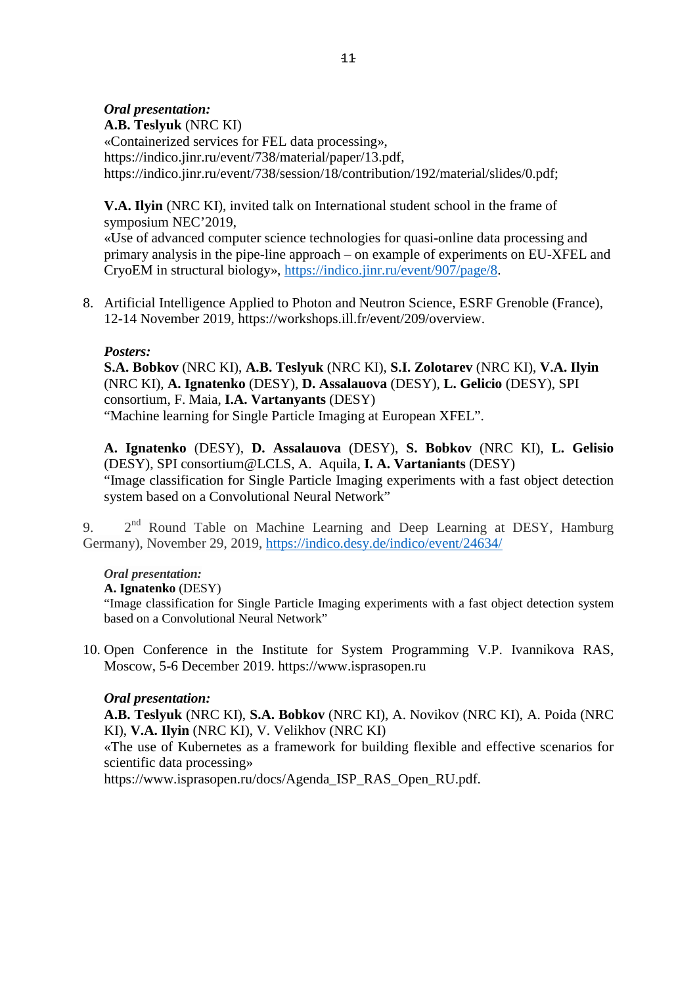### *Oral presentation:*

**A.B. Teslyuk** (NRC KI) «Containerized services for FEL data processing», https://indico.jinr.ru/event/738/material/paper/13.pdf, https://indico.jinr.ru/event/738/session/18/contribution/192/material/slides/0.pdf;

**V.A. Ilyin** (NRC KI), invited talk on International student school in the frame of symposium NEC'2019,

«Use of advanced computer science technologies for quasi-online data processing and primary analysis in the pipe-line approach – on example of experiments on EU-XFEL and CryoEM in structural biology», [https://indico.jinr.ru/event/907/page/8.](https://indico.jinr.ru/event/907/page/8)

8. Artificial Intelligence Applied to Photon and Neutron Science, ESRF Grenoble (France), 12-14 November 2019, https://workshops.ill.fr/event/209/overview.

### *Posters:*

**S.A. Bobkov** (NRC KI), **A.B. Teslyuk** (NRC KI), **S.I. Zolotarev** (NRC KI), **V.A. Ilyin** (NRC KI), **A. Ignatenko** (DESY), **D. Assalauova** (DESY), **L. Gelicio** (DESY), SPI consortium, F. Maia, **I.A. Vartanyants** (DESY)

"Machine learning for Single Particle Imaging at European XFEL".

**A. Ignatenko** (DESY), **D. Assalauova** (DESY), **S. Bobkov** (NRC KI), **L. Gelisio** (DESY), SPI consortium@LCLS, A. Aquila, **I. A. Vartaniants** (DESY)

"Image classification for Single Particle Imaging experiments with a fast object detection system based on a Convolutional Neural Network"

9. 2<sup>nd</sup> Round Table on Machine Learning and Deep Learning at DESY, Hamburg Germany), November 29, 2019,<https://indico.desy.de/indico/event/24634/>

#### *Oral presentation:*

**A. Ignatenko** (DESY)

"Image classification for Single Particle Imaging experiments with a fast object detection system based on a Convolutional Neural Network"

10. Open Conference in the Institute for System Programming V.P. Ivannikova RAS, Moscow, 5-6 December 2019. https://www.isprasopen.ru

#### *Oral presentation:*

**A.B. Teslyuk** (NRC KI), **S.A. Bobkov** (NRC KI), A. Novikov (NRC KI), A. Poida (NRC KI), **V.A. Ilyin** (NRC KI), V. Velikhov (NRC KI)

«The use of Kubernetes as a framework for building flexible and effective scenarios for scientific data processing»

https://www.isprasopen.ru/docs/Agenda\_ISP\_RAS\_Open\_RU.pdf.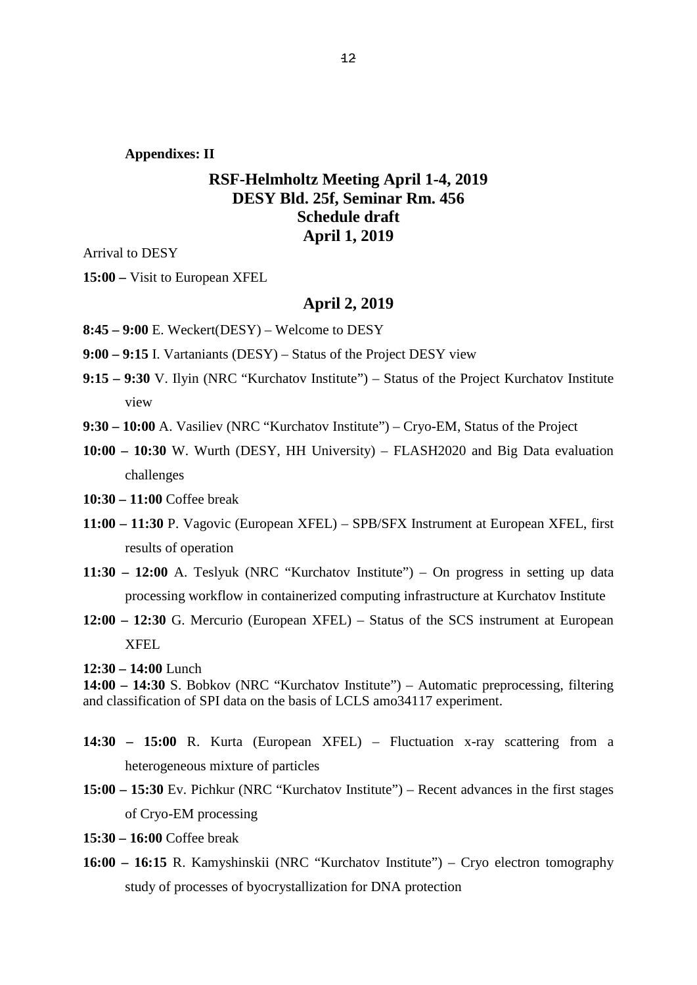**Appendixes: II**

## **RSF-Helmholtz Meeting April 1-4, 2019 DESY Bld. 25f, Seminar Rm. 456 Schedule draft April 1, 2019**

Arrival to DESY

**15:00 –** Visit to European XFEL

#### **April 2, 2019**

**8:45 – 9:00** E. Weckert(DESY) – Welcome to DESY

**9:00 – 9:15** I. Vartaniants (DESY) – Status of the Project DESY view

- **9:15 – 9:30** V. Ilyin (NRC "Kurchatov Institute") Status of the Project Kurchatov Institute view
- **9:30 – 10:00** A. Vasiliev (NRC "Kurchatov Institute") Cryo-EM, Status of the Project
- **10:00 – 10:30** W. Wurth (DESY, HH University) FLASH2020 and Big Data evaluation challenges

**10:30 – 11:00** Coffee break

- **11:00 – 11:30** P. Vagovic (European XFEL) SPB/SFX Instrument at European XFEL, first results of operation
- **11:30 – 12:00** A. Teslyuk (NRC "Kurchatov Institute") On progress in setting up data processing workflow in containerized computing infrastructure at Kurchatov Institute
- **12:00 – 12:30** G. Mercurio (European XFEL) Status of the SCS instrument at European XFEL

**12:30 – 14:00** Lunch

**14:00 – 14:30** S. Bobkov (NRC "Kurchatov Institute") – Automatic preprocessing, filtering and classification of SPI data on the basis of LCLS amo34117 experiment.

- **14:30 – 15:00** R. Kurta (European XFEL) Fluctuation x-ray scattering from a heterogeneous mixture of particles
- **15:00 – 15:30** Ev. Pichkur (NRC "Kurchatov Institute") Recent advances in the first stages of Cryo-EM processing
- **15:30 – 16:00** Coffee break
- **16:00 – 16:15** R. Kamyshinskii (NRC "Kurchatov Institute") Cryo electron tomography study of processes of byocrystallization for DNA protection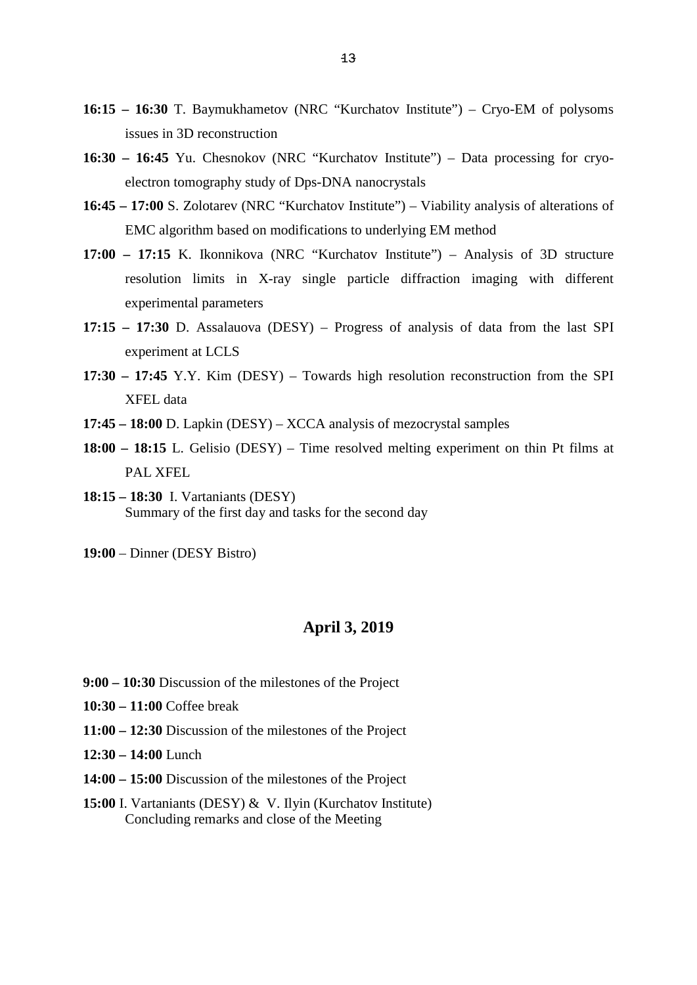- **16:15 – 16:30** T. Baymukhametov (NRC "Kurchatov Institute") Cryo-EM of polysoms issues in 3D reconstruction
- **16:30 – 16:45** Yu. Chesnokov (NRC "Kurchatov Institute") Data processing for cryoelectron tomography study of Dps-DNA nanocrystals
- **16:45 – 17:00** S. Zolotarev (NRC "Kurchatov Institute") Viability analysis of alterations of EMC algorithm based on modifications to underlying EM method
- **17:00 – 17:15** K. Ikonnikova (NRC "Kurchatov Institute") Analysis of 3D structure resolution limits in X-ray single particle diffraction imaging with different experimental parameters
- **17:15 – 17:30** D. Assalauova (DESY) Progress of analysis of data from the last SPI experiment at LCLS
- **17:30 – 17:45** Y.Y. Kim (DESY) Towards high resolution reconstruction from the SPI XFEL data
- **17:45 – 18:00** D. Lapkin (DESY) XCCA analysis of mezocrystal samples
- **18:00 – 18:15** L. Gelisio (DESY) Time resolved melting experiment on thin Pt films at PAL XFEL
- **18:15 – 18:30** I. Vartaniants (DESY) Summary of the first day and tasks for the second day

**19:00** – Dinner (DESY Bistro)

#### **April 3, 2019**

- **9:00 – 10:30** Discussion of the milestones of the Project
- **10:30 – 11:00** Coffee break
- **11:00 – 12:30** Discussion of the milestones of the Project
- **12:30 – 14:00** Lunch
- **14:00 – 15:00** Discussion of the milestones of the Project
- **15:00** I. Vartaniants (DESY) & V. Ilyin (Kurchatov Institute) Concluding remarks and close of the Meeting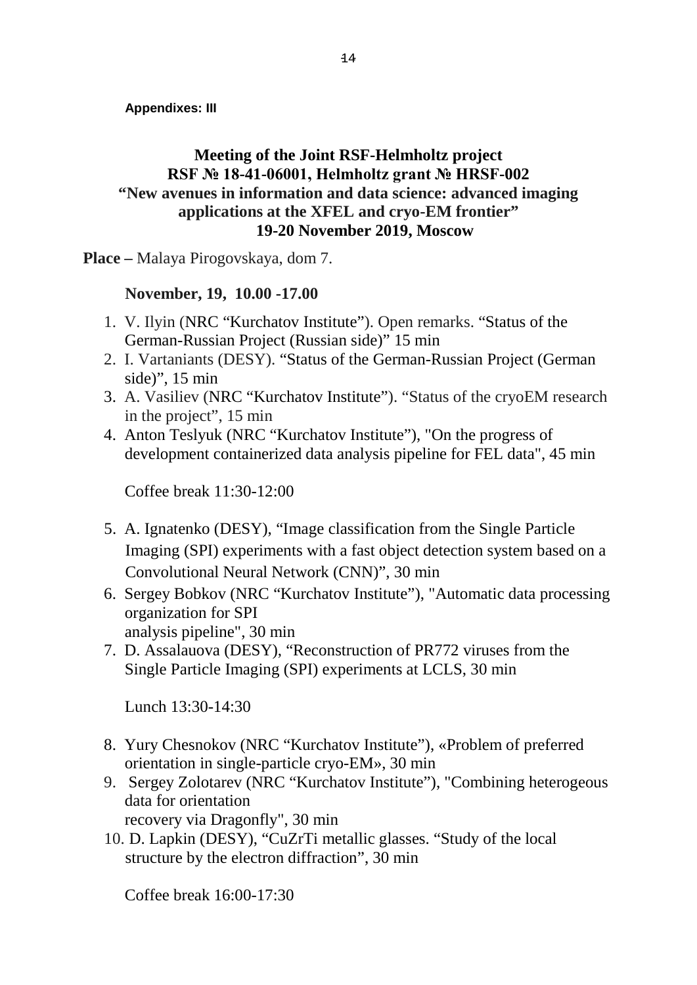**Appendixes: III**

# **Meeting of the Joint RSF-Helmholtz project RSF № 18-41-06001, Helmholtz grant № HRSF-002 "New avenues in information and data science: advanced imaging applications at the XFEL and cryo-EM frontier" 19-20 November 2019, Moscow**

**Place –** Malaya Pirogovskaya, dom 7.

# **November, 19, 10.00 -17.00**

- 1. V. Ilyin (NRC "Kurchatov Institute"). Open remarks. "Status of the German-Russian Project (Russian side)" 15 min
- 2. I. Vartaniants (DESY). "Status of the German-Russian Project (German side)", 15 min
- 3. A. Vasiliev (NRC "Kurchatov Institute"). "Status of the cryoEM research in the project", 15 min
- 4. Anton Teslyuk (NRC "Kurchatov Institute"), "On the progress of development containerized data analysis pipeline for FEL data", 45 min

Coffee break 11:30-12:00

- 5. A. Ignatenko (DESY), "Image classification from the Single Particle Imaging (SPI) experiments with a fast object detection system based on a Convolutional Neural Network (CNN)", 30 min
- 6. Sergey Bobkov (NRC "Kurchatov Institute"), "Automatic data processing organization for SPI analysis pipeline", 30 min
- 7. D. Assalauova (DESY), "Reconstruction of PR772 viruses from the Single Particle Imaging (SPI) experiments at LCLS, 30 min

Lunch 13:30-14:30

- 8. Yury Chesnokov (NRC "Kurchatov Institute"), «Problem of preferred orientation in single-particle cryo-EM», 30 min
- 9. Sergey Zolotarev (NRC "Kurchatov Institute"), "Combining heterogeous data for orientation
	- recovery via Dragonfly", 30 min
- 10. D. Lapkin (DESY), "CuZrTi metallic glasses. "Study of the local structure by the electron diffraction", 30 min

Coffee break 16:00-17:30